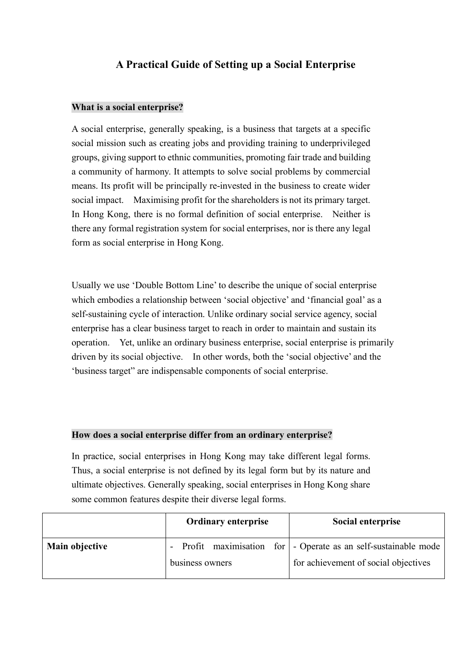# **A Practical Guide of Setting up a Social Enterprise**

#### **What is a social enterprise?**

A social enterprise, generally speaking, is a business that targets at a specific social mission such as creating jobs and providing training to underprivileged groups, giving support to ethnic communities, promoting fair trade and building a community of harmony. It attempts to solve social problems by commercial means. Its profit will be principally re-invested in the business to create wider social impact. Maximising profit for the shareholders is not its primary target. In Hong Kong, there is no formal definition of social enterprise. Neither is there any formal registration system for social enterprises, nor is there any legal form as social enterprise in Hong Kong.

Usually we use 'Double Bottom Line' to describe the unique of social enterprise which embodies a relationship between 'social objective' and 'financial goal' as a self-sustaining cycle of interaction. Unlike ordinary social service agency, social enterprise has a clear business target to reach in order to maintain and sustain its operation. Yet, unlike an ordinary business enterprise, social enterprise is primarily driven by its social objective. In other words, both the 'social objective' and the 'business target" are indispensable components of social enterprise.

#### **How does a social enterprise differ from an ordinary enterprise?**

In practice, social enterprises in Hong Kong may take different legal forms. Thus, a social enterprise is not defined by its legal form but by its nature and ultimate objectives. Generally speaking, social enterprises in Hong Kong share some common features despite their diverse legal forms.

|                | <b>Ordinary enterprise</b> | Social enterprise                                                                                       |
|----------------|----------------------------|---------------------------------------------------------------------------------------------------------|
| Main objective | business owners            | - Profit maximisation for - Operate as an self-sustainable mode<br>for achievement of social objectives |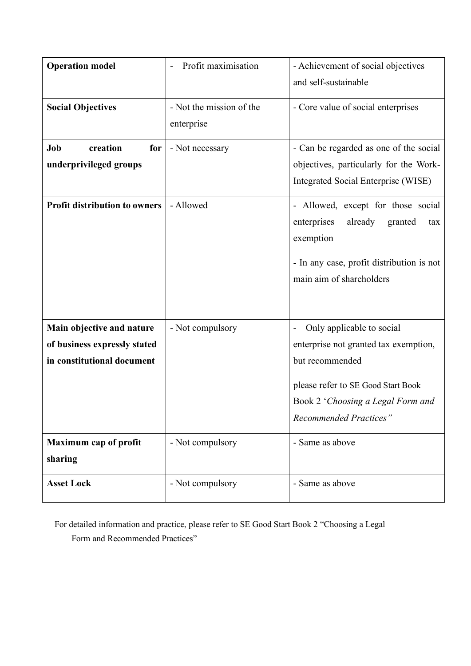| <b>Operation model</b>                                                                  | Profit maximisation                    | - Achievement of social objectives<br>and self-sustainable                                                                                                                                        |
|-----------------------------------------------------------------------------------------|----------------------------------------|---------------------------------------------------------------------------------------------------------------------------------------------------------------------------------------------------|
| <b>Social Objectives</b>                                                                | - Not the mission of the<br>enterprise | - Core value of social enterprises                                                                                                                                                                |
| Job<br>creation<br>for<br>underprivileged groups                                        | - Not necessary                        | - Can be regarded as one of the social<br>objectives, particularly for the Work-<br>Integrated Social Enterprise (WISE)                                                                           |
| <b>Profit distribution to owners</b>                                                    | - Allowed                              | - Allowed, except for those social<br>enterprises<br>already<br>granted<br>tax<br>exemption<br>- In any case, profit distribution is not<br>main aim of shareholders                              |
| Main objective and nature<br>of business expressly stated<br>in constitutional document | - Not compulsory                       | Only applicable to social<br>enterprise not granted tax exemption,<br>but recommended<br>please refer to SE Good Start Book<br>Book 2 'Choosing a Legal Form and<br><b>Recommended Practices"</b> |
| <b>Maximum cap of profit</b><br>sharing                                                 | - Not compulsory                       | - Same as above                                                                                                                                                                                   |
| <b>Asset Lock</b>                                                                       | - Not compulsory                       | - Same as above                                                                                                                                                                                   |

For detailed information and practice, please refer to SE Good Start Book 2 "Choosing a Legal Form and Recommended Practices"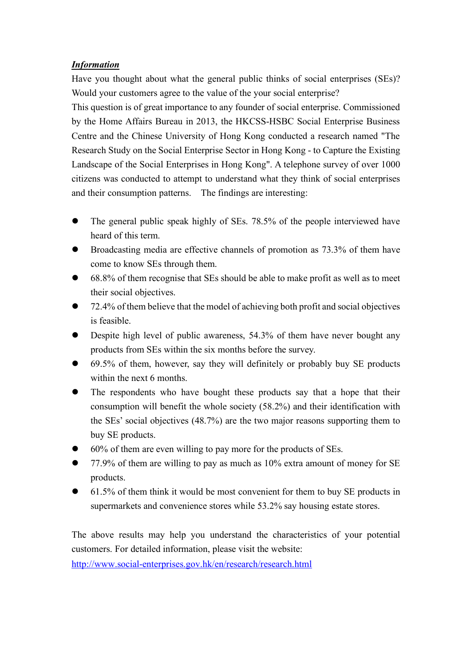## *Information*

Have you thought about what the general public thinks of social enterprises (SEs)? Would your customers agree to the value of the your social enterprise?

This question is of great importance to any founder of social enterprise. Commissioned by the Home Affairs Bureau in 2013, the HKCSS-HSBC Social Enterprise Business Centre and the Chinese University of Hong Kong conducted a research named "The Research Study on the Social Enterprise Sector in Hong Kong - to Capture the Existing Landscape of the Social Enterprises in Hong Kong". A telephone survey of over 1000 citizens was conducted to attempt to understand what they think of social enterprises and their consumption patterns. The findings are interesting:

- $\bullet$  The general public speak highly of SEs. 78.5% of the people interviewed have heard of this term.
- l Broadcasting media are effective channels of promotion as 73.3% of them have come to know SEs through them.
- l 68.8% of them recognise that SEs should be able to make profit as well as to meet their social objectives.
- l 72.4% of them believe that the model of achieving both profit and social objectives is feasible.
- Despite high level of public awareness, 54.3% of them have never bought any products from SEs within the six months before the survey.
- l 69.5% of them, however, say they will definitely or probably buy SE products within the next 6 months.
- The respondents who have bought these products say that a hope that their consumption will benefit the whole society (58.2%) and their identification with the SEs' social objectives (48.7%) are the two major reasons supporting them to buy SE products.
- l 60% of them are even willing to pay more for the products of SEs.
- l 77.9% of them are willing to pay as much as 10% extra amount of money for SE products.
- l 61.5% of them think it would be most convenient for them to buy SE products in supermarkets and convenience stores while 53.2% say housing estate stores.

The above results may help you understand the characteristics of your potential customers. For detailed information, please visit the website:

http://www.social-enterprises.gov.hk/en/research/research.html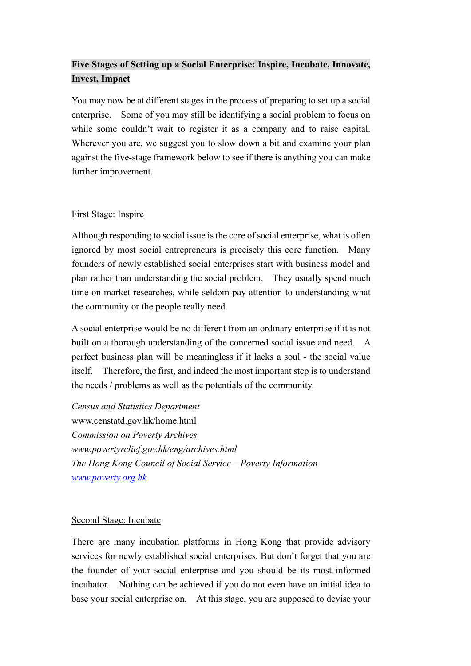# **Five Stages of Setting up a Social Enterprise: Inspire, Incubate, Innovate, Invest, Impact**

You may now be at different stages in the process of preparing to set up a social enterprise. Some of you may still be identifying a social problem to focus on while some couldn't wait to register it as a company and to raise capital. Wherever you are, we suggest you to slow down a bit and examine your plan against the five-stage framework below to see if there is anything you can make further improvement.

## First Stage: Inspire

Although responding to social issue is the core of social enterprise, what is often ignored by most social entrepreneurs is precisely this core function. Many founders of newly established social enterprises start with business model and plan rather than understanding the social problem. They usually spend much time on market researches, while seldom pay attention to understanding what the community or the people really need.

A social enterprise would be no different from an ordinary enterprise if it is not built on a thorough understanding of the concerned social issue and need. A perfect business plan will be meaningless if it lacks a soul - the social value itself. Therefore, the first, and indeed the most important step is to understand the needs / problems as well as the potentials of the community.

*Census and Statistics Department* www.censtatd.gov.hk/home.html *Commission on Poverty Archives www.povertyrelief.gov.hk/eng/archives.html The Hong Kong Council of Social Service – Poverty Information www.poverty.org.hk*

## Second Stage: Incubate

There are many incubation platforms in Hong Kong that provide advisory services for newly established social enterprises. But don't forget that you are the founder of your social enterprise and you should be its most informed incubator. Nothing can be achieved if you do not even have an initial idea to base your social enterprise on. At this stage, you are supposed to devise your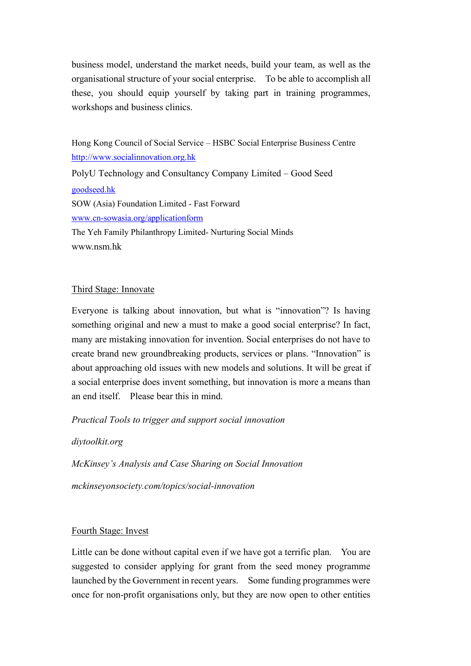business model, understand the market needs, build your team, as well as the organisational structure of your social enterprise. To be able to accomplish all these, you should equip yourself by taking part in training programmes, workshops and business clinics.

Hong Kong Council of Social Service – HSBC Social Enterprise Business Centre http://www.socialinnovation.org.hk PolyU Technology and Consultancy Company Limited – Good Seed goodseed.hk SOW (Asia) Foundation Limited - Fast Forward www.cn-sowasia.org/applicationform The Yeh Family Philanthropy Limited- Nurturing Social Minds www.nsm.hk

#### Third Stage: Innovate

Everyone is talking about innovation, but what is "innovation"? Is having something original and new a must to make a good social enterprise? In fact, many are mistaking innovation for invention. Social enterprises do not have to create brand new groundbreaking products, services or plans. "Innovation" is about approaching old issues with new models and solutions. It will be great if a social enterprise does invent something, but innovation is more a means than an end itself. Please bear this in mind.

*Practical Tools to trigger and support social innovation* 

*diytoolkit.org*

*McKinsey's Analysis and Case Sharing on Social Innovation*

*mckinseyonsociety.com/topics/social-innovation*

## Fourth Stage: Invest

Little can be done without capital even if we have got a terrific plan. You are suggested to consider applying for grant from the seed money programme launched by the Government in recent years. Some funding programmes were once for non-profit organisations only, but they are now open to other entities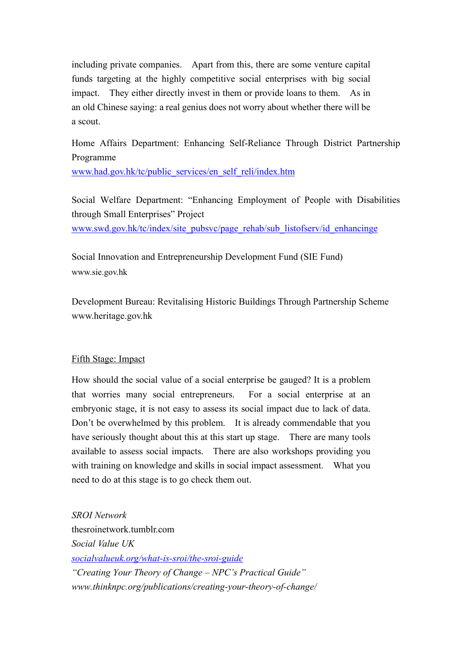including private companies. Apart from this, there are some venture capital funds targeting at the highly competitive social enterprises with big social impact. They either directly invest in them or provide loans to them. As in an old Chinese saying: a real genius does not worry about whether there will be a scout.

Home Affairs Department: Enhancing Self-Reliance Through District Partnership Programme

www.had.gov.hk/tc/public\_services/en\_self\_reli/index.htm

Social Welfare Department: "Enhancing Employment of People with Disabilities through Small Enterprises" Project www.swd.gov.hk/tc/index/site\_pubsvc/page\_rehab/sub\_listofserv/id\_enhancinge

Social Innovation and Entrepreneurship Development Fund (SIE Fund) www.sie.gov.hk

Development Bureau: Revitalising Historic Buildings Through Partnership Scheme www.heritage.gov.hk

## Fifth Stage: Impact

How should the social value of a social enterprise be gauged? It is a problem that worries many social entrepreneurs. For a social enterprise at an embryonic stage, it is not easy to assess its social impact due to lack of data. Don't be overwhelmed by this problem. It is already commendable that you have seriously thought about this at this start up stage. There are many tools available to assess social impacts. There are also workshops providing you with training on knowledge and skills in social impact assessment. What you need to do at this stage is to go check them out.

*SROI Network*  thesroinetwork tumblr com *Social Value UK socialvalueuk.org/what-is-sroi/the-sroi-guide "Creating Your Theory of Change – NPC's Practical Guide" www.thinknpc.org/publications/creating-your-theory-of-change/*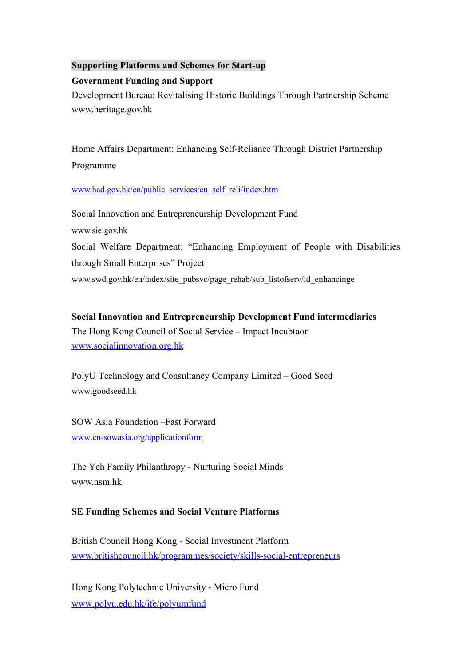## **Supporting Platforms and Schemes for Start-up**

#### **Government Funding and Support**

Development Bureau: Revitalising Historic Buildings Through Partnership Scheme www.heritage.gov.hk

Home Affairs Department: Enhancing Self-Reliance Through District Partnership Programme

#### www.had.gov.hk/en/public\_services/en\_self\_reli/index.htm

Social Innovation and Entrepreneurship Development Fund www.sie.gov.hk Social Welfare Department: "Enhancing Employment of People with Disabilities through Small Enterprises" Project www.swd.gov.hk/en/index/site\_pubsvc/page\_rehab/sub\_listofserv/id\_enhancinge

**Social Innovation and Entrepreneurship Development Fund intermediaries** The Hong Kong Council of Social Service – Impact Incubtaor www.socialinnovation.org.hk

PolyU Technology and Consultancy Company Limited – Good Seed www.goodseed.hk

SOW Asia Foundation –Fast Forward www.cn-sowasia.org/applicationform

The Yeh Family Philanthropy - Nurturing Social Minds www.nsm.hk

## **SE Funding Schemes and Social Venture Platforms**

British Council Hong Kong - Social Investment Platform www.britishcouncil.hk/programmes/society/skills-social-entrepreneurs

Hong Kong Polytechnic University - Micro Fund www.polyu.edu.hk/ife/polyumfund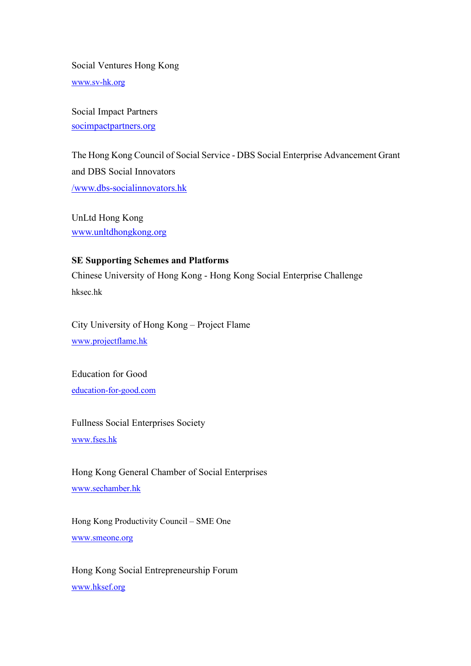Social Ventures Hong Kong www.sv-hk.org

Social Impact Partners socimpactpartners.org

The Hong Kong Council of Social Service - DBS Social Enterprise Advancement Grant and DBS Social Innovators /www.dbs-socialinnovators.hk

UnLtd Hong Kong www.unltdhongkong.org

## **SE Supporting Schemes and Platforms**

Chinese University of Hong Kong - Hong Kong Social Enterprise Challenge hksec.hk

City University of Hong Kong – Project Flame www.projectflame.hk

Education for Good education-for-good.com

Fullness Social Enterprises Society www.fses.hk

Hong Kong General Chamber of Social Enterprises www.sechamber.hk

Hong Kong Productivity Council – SME One www.smeone.org

Hong Kong Social Entrepreneurship Forum www.hksef.org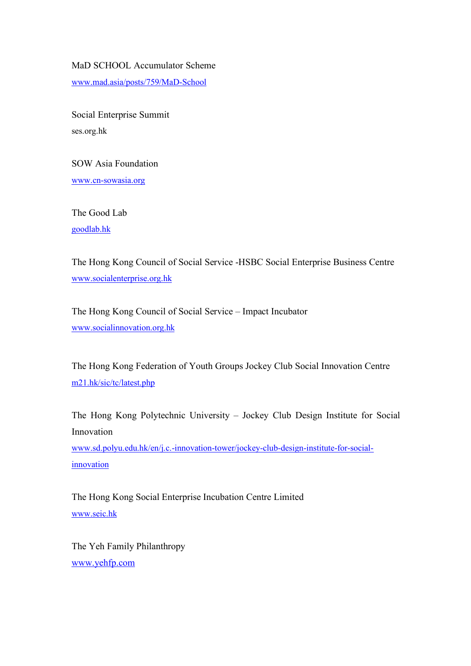MaD SCHOOL Accumulator Scheme

www.mad.asia/posts/759/MaD-School

Social Enterprise Summit ses.org.hk

SOW Asia Foundation www.cn-sowasia.org

The Good Lab goodlab.hk

The Hong Kong Council of Social Service -HSBC Social Enterprise Business Centre www.socialenterprise.org.hk

The Hong Kong Council of Social Service – Impact Incubator www.socialinnovation.org.hk

The Hong Kong Federation of Youth Groups Jockey Club Social Innovation Centre m21.hk/sic/tc/latest.php

The Hong Kong Polytechnic University – Jockey Club Design Institute for Social Innovation

www.sd.polyu.edu.hk/en/j.c.-innovation-tower/jockey-club-design-institute-for-socialinnovation

The Hong Kong Social Enterprise Incubation Centre Limited www.seic.hk

The Yeh Family Philanthropy www.yehfp.com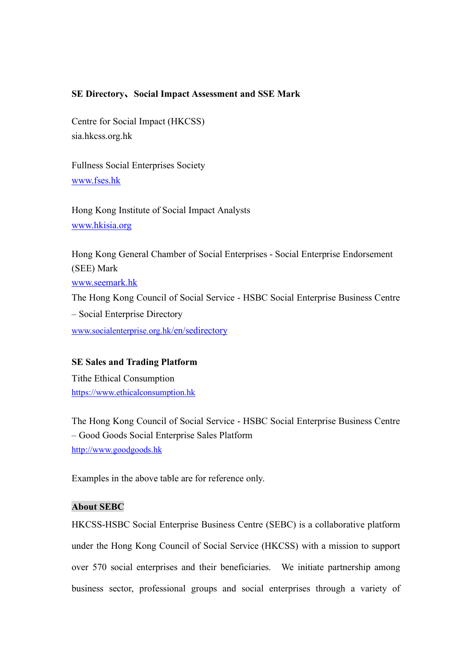#### **SE Directory、Social Impact Assessment and SSE Mark**

Centre for Social Impact (HKCSS) sia.hkcss.org.hk

Fullness Social Enterprises Society www.fses.hk

Hong Kong Institute of Social Impact Analysts www.hkisia.org

Hong Kong General Chamber of Social Enterprises - Social Enterprise Endorsement (SEE) Mark www.seemark.hk The Hong Kong Council of Social Service - HSBC Social Enterprise Business Centre – Social Enterprise Directory www.socialenterprise.org.hk/en/sedirectory

#### **SE Sales and Trading Platform**

Tithe Ethical Consumption https://www.ethicalconsumption.hk

The Hong Kong Council of Social Service - HSBC Social Enterprise Business Centre – Good Goods Social Enterprise Sales Platform http://www.goodgoods.hk

Examples in the above table are for reference only.

## **About SEBC**

HKCSS-HSBC Social Enterprise Business Centre (SEBC) is a collaborative platform under the Hong Kong Council of Social Service (HKCSS) with a mission to support over 570 social enterprises and their beneficiaries. We initiate partnership among business sector, professional groups and social enterprises through a variety of